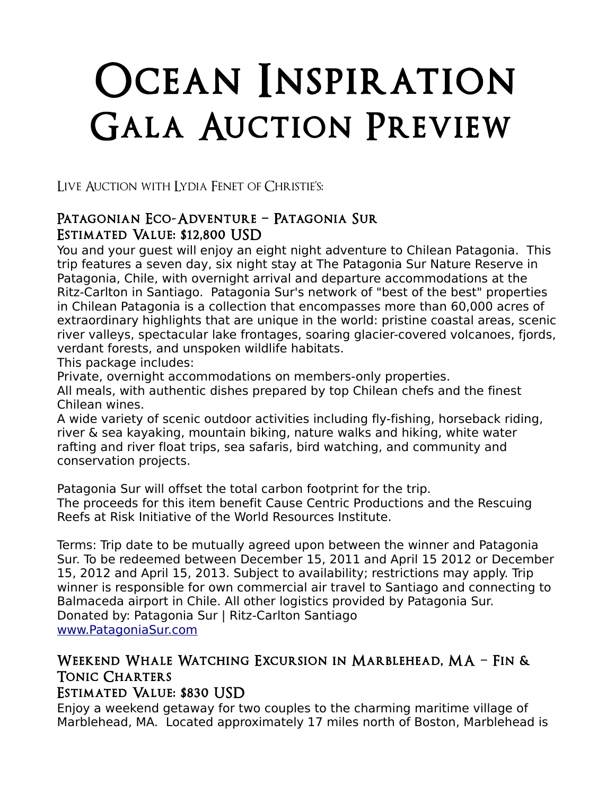# Ocean Inspiration Gala Auction Preview

Live Auction with Lydia Fenet of Christie's:

#### Patagonian Eco-Adventure – Patagonia Sur Estimated Value: \$12,800 USD

You and your guest will enjoy an eight night adventure to Chilean Patagonia. This trip features a seven day, six night stay at The Patagonia Sur Nature Reserve in Patagonia, Chile, with overnight arrival and departure accommodations at the Ritz-Carlton in Santiago. Patagonia Sur's network of "best of the best" properties in Chilean Patagonia is a collection that encompasses more than 60,000 acres of extraordinary highlights that are unique in the world: pristine coastal areas, scenic river valleys, spectacular lake frontages, soaring glacier-covered volcanoes, fjords, verdant forests, and unspoken wildlife habitats.

This package includes:

Private, overnight accommodations on members-only properties.

All meals, with authentic dishes prepared by top Chilean chefs and the finest Chilean wines.

A wide variety of scenic outdoor activities including fly-fishing, horseback riding, river & sea kayaking, mountain biking, nature walks and hiking, white water rafting and river float trips, sea safaris, bird watching, and community and conservation projects.

Patagonia Sur will offset the total carbon footprint for the trip. The proceeds for this item benefit Cause Centric Productions and the Rescuing Reefs at Risk Initiative of the World Resources Institute.

Terms: Trip date to be mutually agreed upon between the winner and Patagonia Sur. To be redeemed between December 15, 2011 and April 15 2012 or December 15, 2012 and April 15, 2013. Subject to availability; restrictions may apply. Trip winner is responsible for own commercial air travel to Santiago and connecting to Balmaceda airport in Chile. All other logistics provided by Patagonia Sur. Donated by: Patagonia Sur | Ritz-Carlton Santiago [www.PatagoniaSur.com](http://www.PatagoniaSur.com/)

## Weekend Whale Watching Excursion in Marblehead, MA – Fin & Tonic Charters

#### Estimated Value: \$830 USD

Enjoy a weekend getaway for two couples to the charming maritime village of Marblehead, MA. Located approximately 17 miles north of Boston, Marblehead is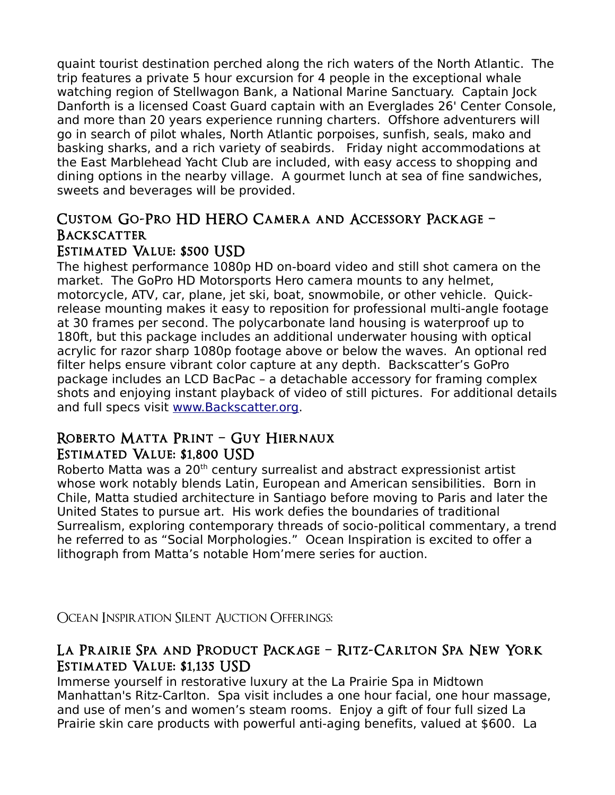quaint tourist destination perched along the rich waters of the North Atlantic. The trip features a private 5 hour excursion for 4 people in the exceptional whale watching region of Stellwagon Bank, a National Marine Sanctuary. Captain Jock Danforth is a licensed Coast Guard captain with an Everglades 26' Center Console, and more than 20 years experience running charters. Offshore adventurers will go in search of pilot whales, North Atlantic porpoises, sunfish, seals, mako and basking sharks, and a rich variety of seabirds. Friday night accommodations at the East Marblehead Yacht Club are included, with easy access to shopping and dining options in the nearby village. A gourmet lunch at sea of fine sandwiches, sweets and beverages will be provided.

## Custom Go-Pro HD HERO Camera and Accessory Package – **BACKSCATTER**

#### Estimated Value: \$500 USD

The highest performance 1080p HD on-board video and still shot camera on the market. The GoPro HD Motorsports Hero camera mounts to any helmet, motorcycle, ATV, car, plane, jet ski, boat, snowmobile, or other vehicle. Quickrelease mounting makes it easy to reposition for professional multi-angle footage at 30 frames per second. The polycarbonate land housing is waterproof up to 180ft, but this package includes an additional underwater housing with optical acrylic for razor sharp 1080p footage above or below the waves. An optional red filter helps ensure vibrant color capture at any depth. Backscatter's GoPro package includes an LCD BacPac – a detachable accessory for framing complex shots and enjoying instant playback of video of still pictures. For additional details and full specs visit [www.Backscatter.org.](http://www.Backscatter.org/)

#### Roberto Matta Print – Guy Hiernaux Estimated Value: \$1,800 USD

Roberto Matta was a 20<sup>th</sup> century surrealist and abstract expressionist artist whose work notably blends Latin, European and American sensibilities. Born in Chile, Matta studied architecture in Santiago before moving to Paris and later the United States to pursue art. His work defies the boundaries of traditional Surrealism, exploring contemporary threads of socio-political commentary, a trend he referred to as "Social Morphologies." Ocean Inspiration is excited to offer a lithograph from Matta's notable Hom'mere series for auction.

Ocean Inspiration Silent Auction Offerings:

## La Prairie Spa and Product Package – Ritz-Carlton Spa New York Estimated Value: \$1,135 USD

Immerse yourself in restorative luxury at the La Prairie Spa in Midtown Manhattan's Ritz-Carlton. Spa visit includes a one hour facial, one hour massage, and use of men's and women's steam rooms. Enjoy a gift of four full sized La Prairie skin care products with powerful anti-aging benefits, valued at \$600. La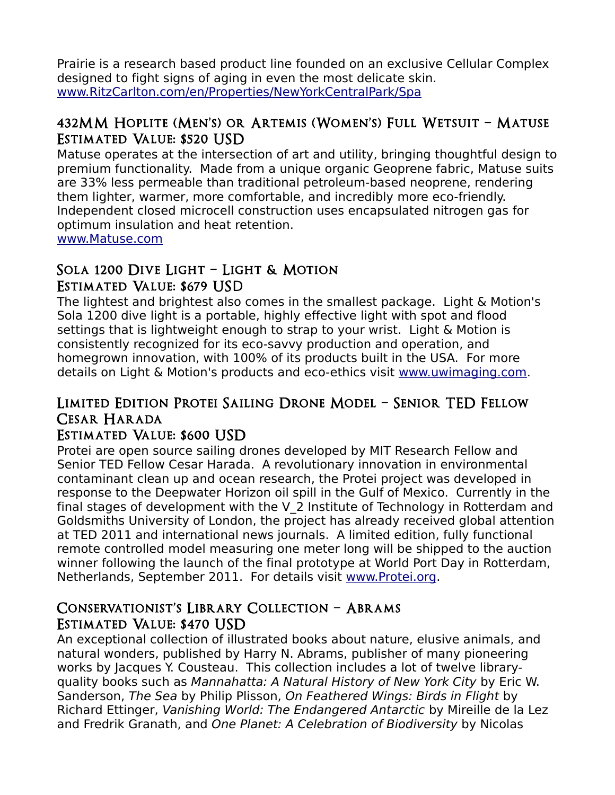Prairie is a research based product line founded on an exclusive Cellular Complex designed to fight signs of aging in even the most delicate skin. [www.RitzCarlton.com/en/Properties/NewYorkCentralPark/Spa](http://www.RitzCarlton.com/en/Properties/NewYorkCentralPark/Spa)

#### 432MM Hoplite (Men's) or Artemis (Women's) Full Wetsuit – Matuse Estimated Value: \$520 USD

Matuse operates at the intersection of art and utility, bringing thoughtful design to premium functionality. Made from a unique organic Geoprene fabric, Matuse suits are 33% less permeable than traditional petroleum-based neoprene, rendering them lighter, warmer, more comfortable, and incredibly more eco-friendly. Independent closed microcell construction uses encapsulated nitrogen gas for optimum insulation and heat retention.

[www.Matuse.com](http://www.Matuse.com/) 

## Sola 1200 Dive Light – Light & Motion Estimated Value: \$679 USD

The lightest and brightest also comes in the smallest package. Light & Motion's Sola 1200 dive light is a portable, highly effective light with spot and flood settings that is lightweight enough to strap to your wrist. Light & Motion is consistently recognized for its eco-savvy production and operation, and homegrown innovation, with 100% of its products built in the USA. For more details on Light & Motion's products and eco-ethics visit [www.uwimaging.com.](http://www.uwimaging.com/)

## Limited Edition Protei Sailing Drone Model – Senior TED Fellow Cesar Harada

#### Estimated Value: \$600 USD

Protei are open source sailing drones developed by MIT Research Fellow and Senior TED Fellow Cesar Harada. A revolutionary innovation in environmental contaminant clean up and ocean research, the Protei project was developed in response to the Deepwater Horizon oil spill in the Gulf of Mexico. Currently in the final stages of development with the V\_2 Institute of Technology in Rotterdam and Goldsmiths University of London, the project has already received global attention at TED 2011 and international news journals. A limited edition, fully functional remote controlled model measuring one meter long will be shipped to the auction winner following the launch of the final prototype at World Port Day in Rotterdam, Netherlands, September 2011. For details visit [www.Protei.org.](http://www.Protei.org/)

#### Conservationist's Library Collection – Abrams Estimated Value: \$470 USD

An exceptional collection of illustrated books about nature, elusive animals, and natural wonders, published by Harry N. Abrams, publisher of many pioneering works by Jacques Y. Cousteau. This collection includes a lot of twelve libraryquality books such as Mannahatta: A Natural History of New York City by Eric W. Sanderson, The Sea by Philip Plisson, On Feathered Wings: Birds in Flight by Richard Ettinger, Vanishing World: The Endangered Antarctic by Mireille de la Lez and Fredrik Granath, and One Planet: A Celebration of Biodiversity by Nicolas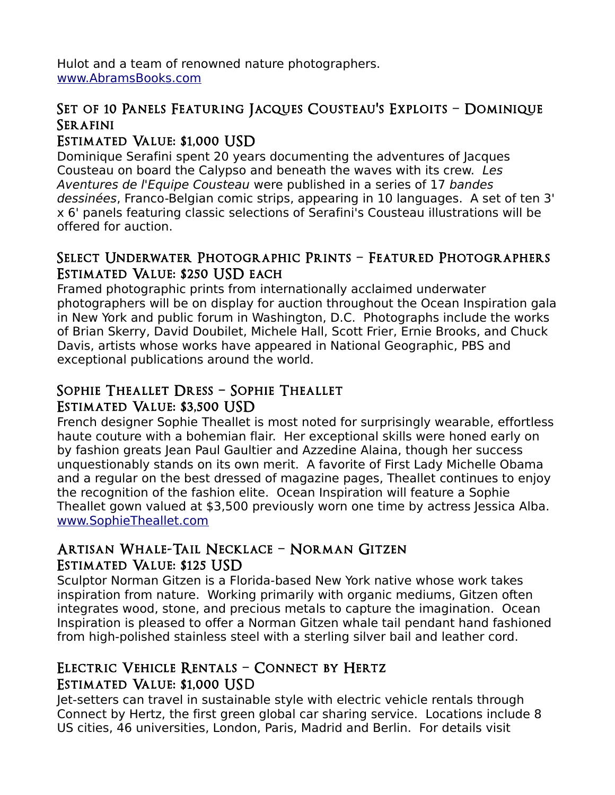Hulot and a team of renowned nature photographers. [www.AbramsBooks.com](http://www.AbramsBooks.com/) 

## Set of 10 Panels Featuring Jacques Cousteau's Exploits – Dominique **SERAFINI**

## Estimated Value: \$1,000 USD

Dominique Serafini spent 20 years documenting the adventures of Jacques Cousteau on board the Calypso and beneath the waves with its crew. Les Aventures de l'Equipe Cousteau were published in a series of 17 bandes dessinées, Franco-Belgian comic strips, appearing in 10 languages. A set of ten 3' x 6' panels featuring classic selections of Serafini's Cousteau illustrations will be offered for auction.

#### Select Underwater Photographic Prints – Featured Photographers Estimated Value: \$250 USD each

Framed photographic prints from internationally acclaimed underwater photographers will be on display for auction throughout the Ocean Inspiration gala in New York and public forum in Washington, D.C. Photographs include the works of Brian Skerry, David Doubilet, Michele Hall, Scott Frier, Ernie Brooks, and Chuck Davis, artists whose works have appeared in National Geographic, PBS and exceptional publications around the world.

## Sophie Theallet Dress – Sophie Theallet Estimated Value: \$3,500 USD

French designer Sophie Theallet is most noted for surprisingly wearable, effortless haute couture with a bohemian flair. Her exceptional skills were honed early on by fashion greats Jean Paul Gaultier and Azzedine Alaina, though her success unquestionably stands on its own merit. A favorite of First Lady Michelle Obama and a regular on the best dressed of magazine pages, Theallet continues to enjoy the recognition of the fashion elite. Ocean Inspiration will feature a Sophie Theallet gown valued at \$3,500 previously worn one time by actress Jessica Alba. [www.SophieTheallet.com](http://www.SophieTheallet.com/)

#### Artisan Whale-Tail Necklace – Norman Gitzen Estimated Value: \$125 USD

Sculptor Norman Gitzen is a Florida-based New York native whose work takes inspiration from nature. Working primarily with organic mediums, Gitzen often integrates wood, stone, and precious metals to capture the imagination. Ocean Inspiration is pleased to offer a Norman Gitzen whale tail pendant hand fashioned from high-polished stainless steel with a sterling silver bail and leather cord.

## Electric Vehicle Rentals – Connect by Hertz Estimated Value: \$1,000 USD

Jet-setters can travel in sustainable style with electric vehicle rentals through Connect by Hertz, the first green global car sharing service. Locations include 8 US cities, 46 universities, London, Paris, Madrid and Berlin. For details visit